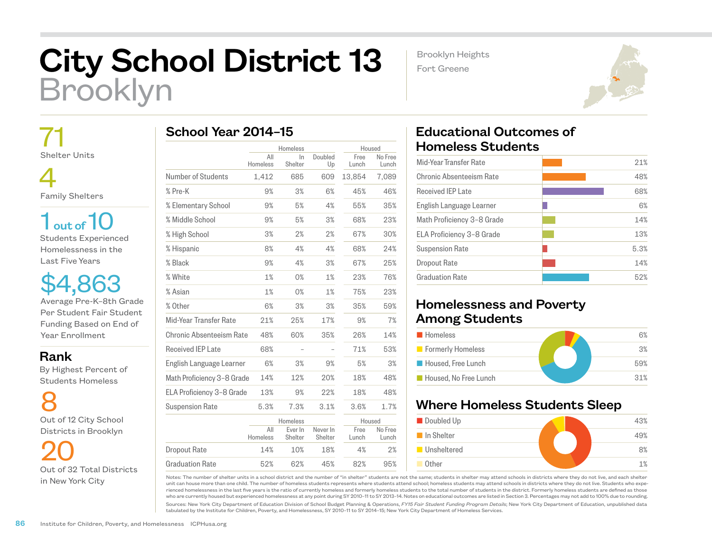# City School District 13 Brooklyn

School Year 2014–15

Brooklyn Heights

Fort Greene

 71 Shelter Units

 4 Family Shelters

 $1<sub>out of</sub>10$ Students Experienced Homelessness in the Last Five Years

\$4,863 Average Pre-K–8th Grade Per Student Fair Student Funding Based on End of Year Enrollment

#### Rank

 By Highest Percent of Students Homeless

8 Out of 12 City School Districts in Brooklyn

20 Out of 32 Total Districts in New York City

|                            |                 | Homeless           |                     | Housed        |                  |
|----------------------------|-----------------|--------------------|---------------------|---------------|------------------|
|                            | All<br>Homeless | In.<br>Shelter     | Doubled<br>Up       | Free<br>Lunch | No Free<br>Lunch |
| Number of Students         | 1,412           | 685                | 609                 | 13,854        | 7,089            |
| % Pre-K                    | 9%              | 3%                 | 6%                  | 45%           | 46%              |
| % Elementary School        | 9%              | 5%                 | 4%                  | 55%           | 35%              |
| % Middle School            | 9%              | 5%                 | 3%                  | 68%           | 23%              |
| % High School              | 3%              | 2%                 | 2%                  | 67%           | 30%              |
| % Hispanic                 | 8%              | 4%                 | 4%                  | 68%           | 24%              |
| % Black                    | 9%              | 4%                 | 3%                  | 67%           | 25%              |
| % White                    | 1%              | 0%                 | 1%                  | 23%           | 76%              |
| % Asian                    | 1%              | 0%                 | 1%                  | 75%           | 23%              |
| % Other                    | 6%              | 3%                 | 3%                  | 35%           | 59%              |
| Mid-Year Transfer Rate     | 21%             | 25%                | 17%                 | 9%            | 7%               |
| Chronic Absenteeism Rate   | 48%             | 60%                | 35%                 | 26%           | 14%              |
| Received IEP Late          | 68%             |                    |                     | 71%           | 53%              |
| English Language Learner   | 6%              | 3%                 | 9%                  | 5%            | 3%               |
| Math Proficiency 3-8 Grade | 14%             | 12%                | 20%                 | 18%           | 48%              |
| ELA Proficiency 3-8 Grade  | 13%             | 9%                 | 22%                 | 18%           | 48%              |
| Suspension Rate            | 5.3%            | 7.3%               | 3.1%                | 3.6%          | 1.7%             |
|                            |                 | Homeless           |                     | Housed        |                  |
|                            | All<br>Homeless | Ever In<br>Shelter | Never In<br>Shelter | Free<br>Lunch | No Free<br>Lunch |
| <b>Dropout Rate</b>        | 14%             | 10%                | 18%                 | 4%            | 2%               |
| <b>Graduation Rate</b>     | 52%             | 62%                | 45%                 | 82%           | 95%              |

## Educational Outcomes of Homeless Students

| Mid-Year Transfer Rate     | 21%  |
|----------------------------|------|
| Chronic Absenteeism Rate   | 48%  |
| <b>Received IEP Late</b>   | 68%  |
| English Language Learner   | 6%   |
| Math Proficiency 3-8 Grade | 14%  |
| ELA Proficiency 3-8 Grade  | 13%  |
| <b>Suspension Rate</b>     | 5.3% |
| Dropout Rate               | 14%  |
| <b>Graduation Rate</b>     | 52%  |
|                            |      |

## Homelessness and Poverty Among Students

| <b>Homeless</b>       | 6%  |
|-----------------------|-----|
| Formerly Homeless     | 3%  |
| Housed, Free Lunch    | 59% |
| Housed. No Free Lunch | 31% |

## Where Homeless Students Sleep



Notes: The number of shelter units in a school district and the number of "in shelter" students are not the same; students in shelter may attend schools in districts where they do not live, and each shelter unit can house more than one child. The number of homeless students represents where students attend school; homeless students may attend schools in districts where they do not live. Students who experienced homelessness in the last five years is the ratio of currently homeless and formerly homeless students to the total number of students in the district. Formerly homeless students are defined as those who are currently housed but experienced homelessness at any point during SY 2010–11 to SY 2013–14. Notes on educational outcomes are listed in Section 3. Percentages may not add to 100% due to rounding.

Sources: New York City Department of Education Division of School Budget Planning & Operations, *FY15 Fair Student Funding Program Details*; New York City Department of Education, unpublished data tabulated by the Institute for Children, Poverty, and Homelessness, SY 2010–11 to SY 2014–15; New York City Department of Homeless Services.